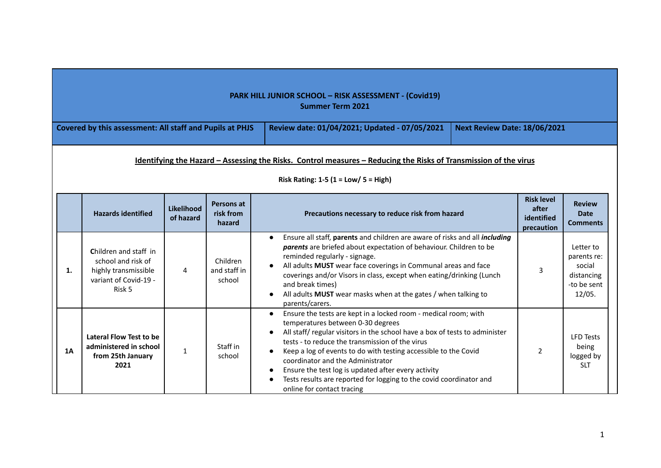|                                                                                                                                                  | <b>PARK HILL JUNIOR SCHOOL - RISK ASSESSMENT - (Covid19)</b><br><b>Summer Term 2021</b>                                                                    |                         |                                    |                                                                                                                                                                                                                                                                                                                                                                                                                                                                                                                        |                                                        |                                                                           |  |  |  |
|--------------------------------------------------------------------------------------------------------------------------------------------------|------------------------------------------------------------------------------------------------------------------------------------------------------------|-------------------------|------------------------------------|------------------------------------------------------------------------------------------------------------------------------------------------------------------------------------------------------------------------------------------------------------------------------------------------------------------------------------------------------------------------------------------------------------------------------------------------------------------------------------------------------------------------|--------------------------------------------------------|---------------------------------------------------------------------------|--|--|--|
| Covered by this assessment: All staff and Pupils at PHJS<br>Review date: 01/04/2021; Updated - 07/05/2021<br><b>Next Review Date: 18/06/2021</b> |                                                                                                                                                            |                         |                                    |                                                                                                                                                                                                                                                                                                                                                                                                                                                                                                                        |                                                        |                                                                           |  |  |  |
|                                                                                                                                                  | Identifying the Hazard - Assessing the Risks. Control measures - Reducing the Risks of Transmission of the virus<br>Risk Rating: 1-5 (1 = $Low/$ 5 = High) |                         |                                    |                                                                                                                                                                                                                                                                                                                                                                                                                                                                                                                        |                                                        |                                                                           |  |  |  |
|                                                                                                                                                  | <b>Hazards identified</b>                                                                                                                                  | Likelihood<br>of hazard | Persons at<br>risk from<br>hazard  | Precautions necessary to reduce risk from hazard                                                                                                                                                                                                                                                                                                                                                                                                                                                                       | <b>Risk level</b><br>after<br>identified<br>precaution | <b>Review</b><br><b>Date</b><br><b>Comments</b>                           |  |  |  |
| 1.                                                                                                                                               | Children and staff in<br>school and risk of<br>highly transmissible<br>variant of Covid-19 -<br>Risk 5                                                     | $\overline{4}$          | Children<br>and staff in<br>school | Ensure all staff, parents and children are aware of risks and all including<br>$\bullet$<br>parents are briefed about expectation of behaviour. Children to be<br>reminded regularly - signage.<br>All adults MUST wear face coverings in Communal areas and face<br>coverings and/or Visors in class, except when eating/drinking (Lunch<br>and break times)<br>All adults MUST wear masks when at the gates / when talking to<br>parents/carers.                                                                     | 3                                                      | Letter to<br>parents re:<br>social<br>distancing<br>-to be sent<br>12/05. |  |  |  |
| 1A                                                                                                                                               | Lateral Flow Test to be<br>administered in school<br>from 25th January<br>2021                                                                             | 1                       | Staff in<br>school                 | Ensure the tests are kept in a locked room - medical room; with<br>$\bullet$<br>temperatures between 0-30 degrees<br>All staff/regular visitors in the school have a box of tests to administer<br>tests - to reduce the transmission of the virus<br>Keep a log of events to do with testing accessible to the Covid<br>coordinator and the Administrator<br>Ensure the test log is updated after every activity<br>Tests results are reported for logging to the covid coordinator and<br>online for contact tracing | 2                                                      | <b>LFD Tests</b><br>being<br>logged by<br><b>SLT</b>                      |  |  |  |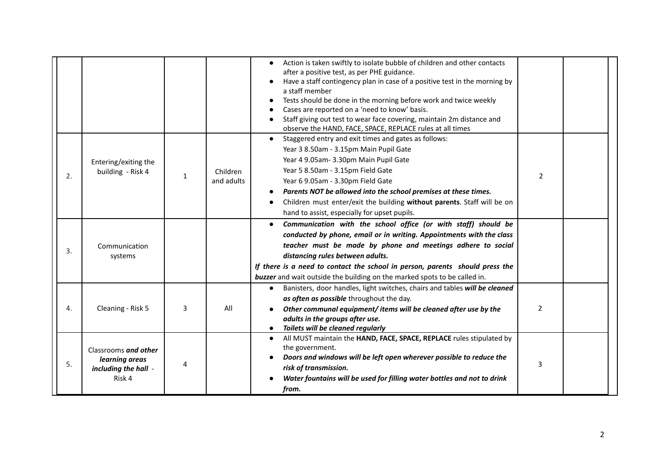|    |                                                                          |   |                        | Action is taken swiftly to isolate bubble of children and other contacts<br>after a positive test, as per PHE guidance.<br>Have a staff contingency plan in case of a positive test in the morning by<br>a staff member<br>Tests should be done in the morning before work and twice weekly<br>Cases are reported on a 'need to know' basis.<br>Staff giving out test to wear face covering, maintain 2m distance and<br>observe the HAND, FACE, SPACE, REPLACE rules at all times |   |  |
|----|--------------------------------------------------------------------------|---|------------------------|------------------------------------------------------------------------------------------------------------------------------------------------------------------------------------------------------------------------------------------------------------------------------------------------------------------------------------------------------------------------------------------------------------------------------------------------------------------------------------|---|--|
| 2. | Entering/exiting the<br>building - Risk 4                                | 1 | Children<br>and adults | Staggered entry and exit times and gates as follows:<br>$\bullet$<br>Year 3 8.50am - 3.15pm Main Pupil Gate<br>Year 4 9.05am- 3.30pm Main Pupil Gate<br>Year 5 8.50am - 3.15pm Field Gate<br>Year 6 9.05am - 3.30pm Field Gate<br>Parents NOT be allowed into the school premises at these times.<br>Children must enter/exit the building without parents. Staff will be on<br>hand to assist, especially for upset pupils.                                                       | 2 |  |
| 3. | Communication<br>systems                                                 |   |                        | Communication with the school office (or with staff) should be<br>conducted by phone, email or in writing. Appointments with the class<br>teacher must be made by phone and meetings adhere to social<br>distancing rules between adults.<br>If there is a need to contact the school in person, parents should press the<br>buzzer and wait outside the building on the marked spots to be called in.                                                                             |   |  |
| 4. | Cleaning - Risk 5                                                        | 3 | All                    | Banisters, door handles, light switches, chairs and tables will be cleaned<br>$\bullet$<br>as often as possible throughout the day.<br>Other communal equipment/items will be cleaned after use by the<br>adults in the groups after use.<br>Toilets will be cleaned regularly                                                                                                                                                                                                     | 2 |  |
| 5. | Classrooms and other<br>learning areas<br>including the hall -<br>Risk 4 | 4 |                        | All MUST maintain the HAND, FACE, SPACE, REPLACE rules stipulated by<br>$\bullet$<br>the government.<br>Doors and windows will be left open wherever possible to reduce the<br>risk of transmission.<br>Water fountains will be used for filling water bottles and not to drink<br>from.                                                                                                                                                                                           | 3 |  |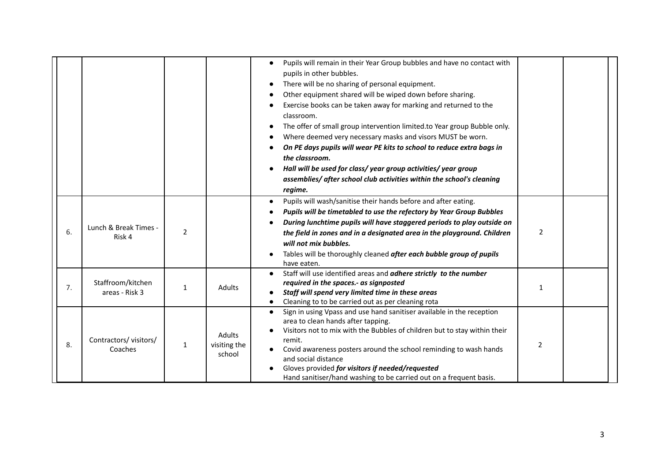|    |                                     |              |                                  | Pupils will remain in their Year Group bubbles and have no contact with<br>pupils in other bubbles.<br>There will be no sharing of personal equipment.<br>٠<br>Other equipment shared will be wiped down before sharing.<br>Exercise books can be taken away for marking and returned to the<br>classroom.<br>The offer of small group intervention limited.to Year group Bubble only.<br>Where deemed very necessary masks and visors MUST be worn.<br>On PE days pupils will wear PE kits to school to reduce extra bags in<br>the classroom.<br>Hall will be used for class/year group activities/year group<br>assemblies/ after school club activities within the school's cleaning<br>regime. |                |  |
|----|-------------------------------------|--------------|----------------------------------|-----------------------------------------------------------------------------------------------------------------------------------------------------------------------------------------------------------------------------------------------------------------------------------------------------------------------------------------------------------------------------------------------------------------------------------------------------------------------------------------------------------------------------------------------------------------------------------------------------------------------------------------------------------------------------------------------------|----------------|--|
| 6. | Lunch & Break Times -<br>Risk 4     | 2            |                                  | Pupils will wash/sanitise their hands before and after eating.<br>Pupils will be timetabled to use the refectory by Year Group Bubbles<br>During lunchtime pupils will have staggered periods to play outside on<br>the field in zones and in a designated area in the playground. Children<br>will not mix bubbles.<br>Tables will be thoroughly cleaned after each bubble group of pupils<br>have eaten.                                                                                                                                                                                                                                                                                          | $\overline{2}$ |  |
| 7. | Staffroom/kitchen<br>areas - Risk 3 | $\mathbf{1}$ | Adults                           | Staff will use identified areas and adhere strictly to the number<br>$\bullet$<br>required in the spaces.- as signposted<br>Staff will spend very limited time in these areas<br>Cleaning to to be carried out as per cleaning rota                                                                                                                                                                                                                                                                                                                                                                                                                                                                 | 1              |  |
| 8. | Contractors/visitors/<br>Coaches    | 1            | Adults<br>visiting the<br>school | Sign in using Vpass and use hand sanitiser available in the reception<br>$\bullet$<br>area to clean hands after tapping.<br>Visitors not to mix with the Bubbles of children but to stay within their<br>remit.<br>Covid awareness posters around the school reminding to wash hands<br>and social distance<br>Gloves provided for visitors if needed/requested<br>Hand sanitiser/hand washing to be carried out on a frequent basis.                                                                                                                                                                                                                                                               | 2              |  |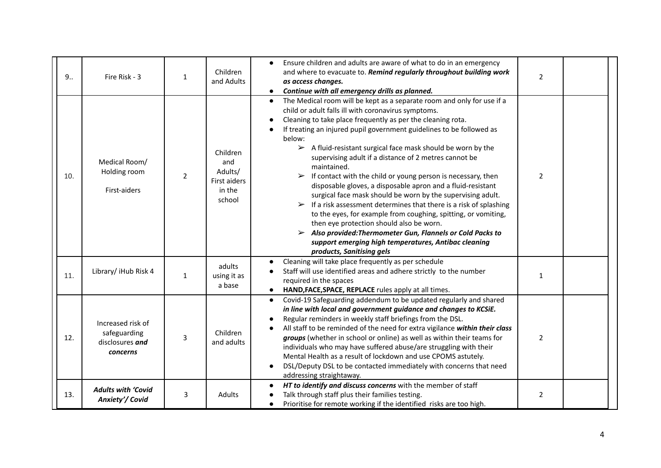| 9.5 | Fire Risk - 3                                                    | 1              | Children<br>and Adults                                         | Ensure children and adults are aware of what to do in an emergency<br>and where to evacuate to. Remind regularly throughout building work<br>as access changes.<br>Continue with all emergency drills as planned.<br>$\bullet$                                                                                                                                                                                                                                                                                                                                                                                                                                                                                                                                                                                                                                                                                                                                                                                                                   | $\overline{2}$ |  |
|-----|------------------------------------------------------------------|----------------|----------------------------------------------------------------|--------------------------------------------------------------------------------------------------------------------------------------------------------------------------------------------------------------------------------------------------------------------------------------------------------------------------------------------------------------------------------------------------------------------------------------------------------------------------------------------------------------------------------------------------------------------------------------------------------------------------------------------------------------------------------------------------------------------------------------------------------------------------------------------------------------------------------------------------------------------------------------------------------------------------------------------------------------------------------------------------------------------------------------------------|----------------|--|
| 10. | Medical Room/<br>Holding room<br>First-aiders                    | $\overline{2}$ | Children<br>and<br>Adults/<br>First aiders<br>in the<br>school | The Medical room will be kept as a separate room and only for use if a<br>$\bullet$<br>child or adult falls ill with coronavirus symptoms.<br>Cleaning to take place frequently as per the cleaning rota.<br>If treating an injured pupil government guidelines to be followed as<br>below:<br>$\triangleright$ A fluid-resistant surgical face mask should be worn by the<br>supervising adult if a distance of 2 metres cannot be<br>maintained.<br>If contact with the child or young person is necessary, then<br>$\blacktriangleright$<br>disposable gloves, a disposable apron and a fluid-resistant<br>surgical face mask should be worn by the supervising adult.<br>$\triangleright$ If a risk assessment determines that there is a risk of splashing<br>to the eyes, for example from coughing, spitting, or vomiting,<br>then eye protection should also be worn.<br>$\triangleright$ Also provided: Thermometer Gun, Flannels or Cold Packs to<br>support emerging high temperatures, Antibac cleaning<br>products, Sanitising gels | $\overline{2}$ |  |
| 11. | Library/ iHub Risk 4                                             | $\mathbf{1}$   | adults<br>using it as<br>a base                                | Cleaning will take place frequently as per schedule<br>Staff will use identified areas and adhere strictly to the number<br>required in the spaces<br>HAND, FACE, SPACE, REPLACE rules apply at all times.                                                                                                                                                                                                                                                                                                                                                                                                                                                                                                                                                                                                                                                                                                                                                                                                                                       | $\mathbf{1}$   |  |
| 12. | Increased risk of<br>safeguarding<br>disclosures and<br>concerns | 3              | Children<br>and adults                                         | Covid-19 Safeguarding addendum to be updated regularly and shared<br>$\bullet$<br>in line with local and government guidance and changes to KCSiE.<br>Regular reminders in weekly staff briefings from the DSL.<br>All staff to be reminded of the need for extra vigilance within their class<br>groups (whether in school or online) as well as within their teams for<br>individuals who may have suffered abuse/are struggling with their<br>Mental Health as a result of lockdown and use CPOMS astutely.<br>DSL/Deputy DSL to be contacted immediately with concerns that need<br>addressing straightaway.                                                                                                                                                                                                                                                                                                                                                                                                                                 | $\overline{2}$ |  |
| 13. | <b>Adults with 'Covid</b><br>Anxiety'/ Covid                     | 3              | Adults                                                         | HT to identify and discuss concerns with the member of staff<br>Talk through staff plus their families testing.<br>Prioritise for remote working if the identified risks are too high.<br>$\bullet$                                                                                                                                                                                                                                                                                                                                                                                                                                                                                                                                                                                                                                                                                                                                                                                                                                              | $\overline{2}$ |  |